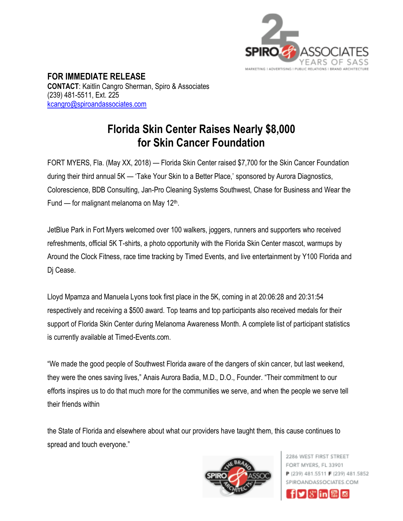

**FOR IMMEDIATE RELEASE CONTACT**: Kaitlin Cangro Sherman, Spiro & Associates (239) 481-5511, Ext. 225 [kcangro@spiroandassociates.com](mailto:kcangro@spiroandassociates.com)

## **Florida Skin Center Raises Nearly \$8,000 for Skin Cancer Foundation**

FORT MYERS, Fla. (May XX, 2018) — Florida Skin Center raised \$7,700 for the Skin Cancer Foundation during their third annual 5K — 'Take Your Skin to a Better Place,' sponsored by Aurora Diagnostics, Colorescience, BDB Consulting, Jan-Pro Cleaning Systems Southwest, Chase for Business and Wear the Fund  $-$  for malignant melanoma on May 12<sup>th</sup>.

JetBlue Park in Fort Myers welcomed over 100 walkers, joggers, runners and supporters who received refreshments, official 5K T-shirts, a photo opportunity with the Florida Skin Center mascot, warmups by Around the Clock Fitness, race time tracking by Timed Events, and live entertainment by Y100 Florida and Dj Cease.

Lloyd Mpamza and Manuela Lyons took first place in the 5K, coming in at 20:06:28 and 20:31:54 respectively and receiving a \$500 award. Top teams and top participants also received medals for their support of Florida Skin Center during Melanoma Awareness Month. A complete list of participant statistics is currently available at Timed-Events.com.

"We made the good people of Southwest Florida aware of the dangers of skin cancer, but last weekend, they were the ones saving lives," Anais Aurora Badia, M.D., D.O., Founder. "Their commitment to our efforts inspires us to do that much more for the communities we serve, and when the people we serve tell their friends within

the State of Florida and elsewhere about what our providers have taught them, this cause continues to spread and touch everyone."



2286 WEST FIRST STREET FORT MYERS, FL 33901 P (239) 481.5511 F (239) 481.5852 SPIROANDASSOCIATES.COM